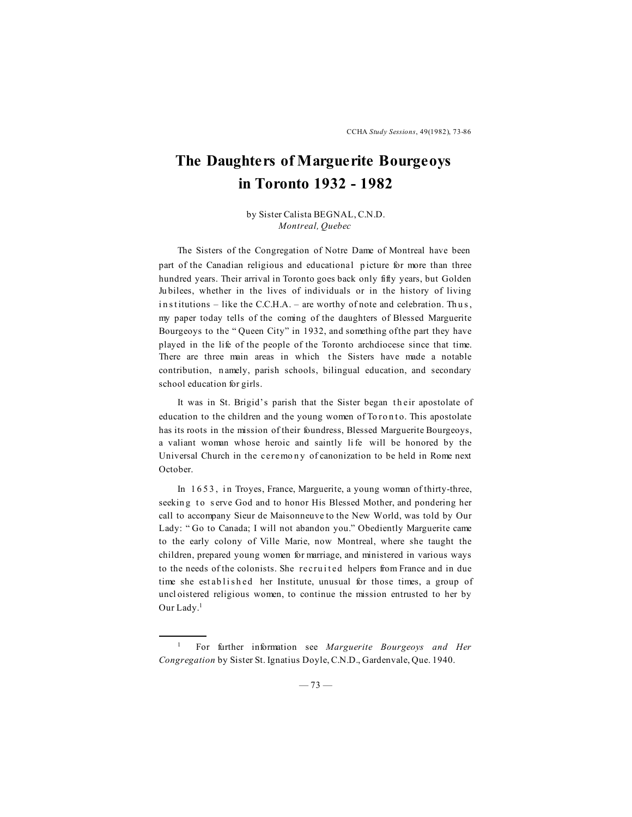## **The Daughters of Marguerite Bourgeoys in Toronto 1932 - 1982**

by Sister Calista BEGNAL, C.N.D. *Montreal, Quebec*

The Sisters of the Congregation of Notre Dame of Montreal have been part of the Canadian religious and educational picture for more than three hundred years. Their arrival in Toronto goes back only fifty years, but Golden Ju bilees, whether in the lives of individuals or in the history of living in stitutions – like the C.C.H.A. – are worthy of note and celebration. Thus, my paper today tells of the coming of the daughters of Blessed Marguerite Bourgeoys to the " Queen City" in 1932, and something of the part they have played in the life of the people of the Toronto archdiocese since that time. There are three main areas in which the Sisters have made a notable contribution, n amely, parish schools, bilingual education, and secondary school education for girls.

It was in St. Brigid's parish that the Sister began their apostolate of education to the children and the young women of Toronto. This apostolate has its roots in the mission of their foundress, Blessed Marguerite Bourgeoys, a valiant woman whose heroic and saintly li fe will be honored by the Universal Church in the ceremony of canonization to be held in Rome next October.

In 1653, in Troyes, France, Marguerite, a young woman of thirty-three, seeking to serve God and to honor His Blessed Mother, and pondering her call to accompany Sieur de Maisonneuve to the New World, was told by Our Lady: " Go to Canada; I will not abandon you." Obediently Marguerite came to the early colony of Ville Marie, now Montreal, where she taught the children, prepared young women for marriage, and ministered in various ways to the needs of the colonists. She recruited helpers from France and in due time she established her Institute, unusual for those times, a group of uncl oistered religious women, to continue the mission entrusted to her by Our Lady.<sup>1</sup>

<sup>1</sup> For further information see *Marguerite Bourgeoys and Her Congregation* by Sister St. Ignatius Doyle, C.N.D., Gardenvale, Que. 1940.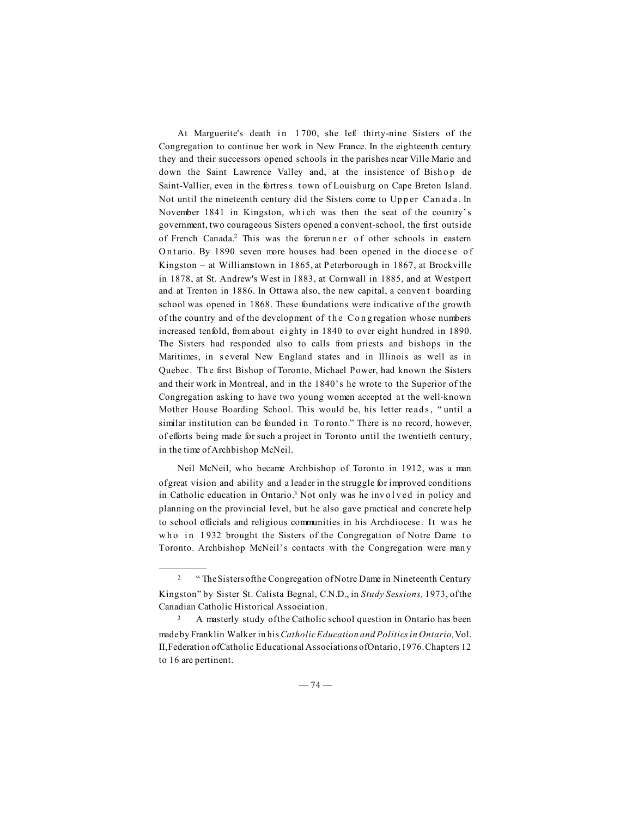At Marguerite's death in 1700, she left thirty-nine Sisters of the Congregation to continue her work in New France. In the eighteenth century they and their successors opened schools in the parishes near Ville Marie and down the Saint Lawrence Valley and, at the insistence of Bishop de Saint-Vallier, even in the fortress town of Louisburg on Cape Breton Island. Not until the nineteenth century did the Sisters come to Upper Canada. In November 1841 in Kingston, which was then the seat of the country's government, two courageous Sisters opened a convent-school, the first outside of French Canada.<sup>2</sup> This was the forerun n er of other schools in eastern Ontario. By 1890 seven more houses had been opened in the diocese of Kingston – at Williamstown in 1865, at Peterborough in 1867, at Brockville in 1878, at St. Andrew's West in 1883, at Cornwall in 1885, and at Westport and at Trenton in 1886. In Ottawa also, the new capital, a conven t boarding school was opened in 1868. These foundations were indicative of the growth of the country and of the development of the Congregation whose numbers increased tenfold, from about ei ghty in 1840 to over eight hundred in 1890. The Sisters had responded also to calls from priests and bishops in the Maritimes, in several New England states and in Illinois as well as in Quebec. The first Bishop of Toronto, Michael Power, had known the Sisters and their work in Montreal, and in the 1840's he wrote to the Superior of the Congregation asking to have two young women accepted at the well-known Mother House Boarding School. This would be, his letter reads, "until a similar institution can be founded in Toronto." There is no record, however, of efforts being made for such a project in Toronto until the twentieth century, in the time of Archbishop McNeil.

Neil McNeil, who became Archbishop of Toronto in 1912, was a man of great vision and ability and a leader in the struggle for improved conditions in Catholic education in Ontario.<sup>3</sup> Not only was he involved in policy and planning on the provincial level, but he also gave practical and concrete help to school officials and religious communities in his Archdiocese. It w as he who in 1932 brought the Sisters of the Congregation of Notre Dame to Toronto. Archbishop McNeil's contacts with the Congregation were man y

<sup>&</sup>lt;sup>2</sup> "The Sisters of the Congregation of Notre Dame in Nineteenth Century Kingston" by Sister St. Calista Begnal, C.N.D., in *Study Sessions,* 1973, of the Canadian Catholic Historical Association.

A masterly study of the Catholic school question in Ontario has been made by Franklin Walker in his *Catholic Education and Politics in Ontario,* Vol. II, Federation of Catholic Educational Associations of Ontario, 1976. Chapters 12 to 16 are pertinent.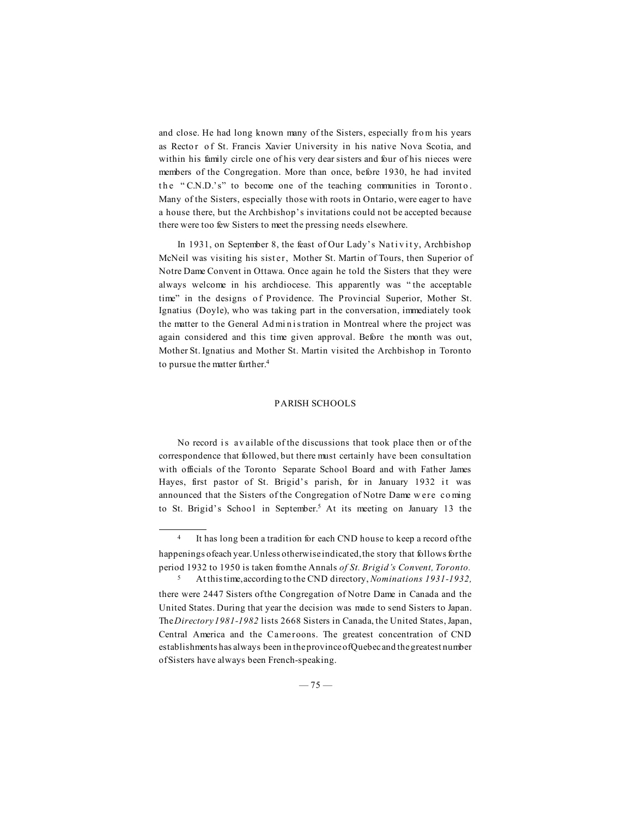and close. He had long known many of the Sisters, especially fro m his years as Rector of St. Francis Xavier University in his native Nova Scotia, and within his family circle one of his very dear sisters and four of his nieces were members of the Congregation. More than once, before 1930, he had invited the "C.N.D.'s" to become one of the teaching communities in Toronto. Many of the Sisters, especially those with roots in Ontario, were eager to have a house there, but the Archbishop's invitations could not be accepted because there were too few Sisters to meet the pressing needs elsewhere.

In 1931, on September 8, the feast of Our Lady's Nativity, Archbishop McNeil was visiting his sister, Mother St. Martin of Tours, then Superior of Notre Dame Convent in Ottawa. Once again he told the Sisters that they were always welcome in his archdiocese. This apparently was " the acceptable time" in the designs of Providence. The Provincial Superior, Mother St. Ignatius (Doyle), who was taking part in the conversation, immediately took the matter to the General Administration in Montreal where the project was again considered and this time given approval. Before t he month was out, Mother St. Ignatius and Mother St. Martin visited the Archbishop in Toronto to pursue the matter further.<sup>4</sup>

## PARISH SCHOOLS

No record is available of the discussions that took place then or of the correspondence that followed, but there must certainly have been consultation with officials of the Toronto Separate School Board and with Father James Hayes, first pastor of St. Brigid's parish, for in January 1932 it was announced that the Sisters of the Congregation of Notre Dame w ere co ming to St. Brigid's School in September.<sup>5</sup> At its meeting on January 13 the

<sup>&</sup>lt;sup>4</sup> It has long been a tradition for each CND house to keep a record of the happenings of each year. Unless otherwise indicated, the story that follows for the period 1932 to 1950 is taken from the Annals *of St. Brigid's Convent, Toronto.* <sup>5</sup> At this time, according to the CND directory, *Nominations 1931-1932,*

there were 2447 Sisters of the Congregation of Notre Dame in Canada and the United States. During that year the decision was made to send Sisters to Japan. The *Directory 1981-1982* lists 2668 Sisters in Canada, the United States, Japan, Central America and the Cameroons. The greatest concentration of CND establishments has always been in the province of Quebec and the greatest number of Sisters have always been French-speaking.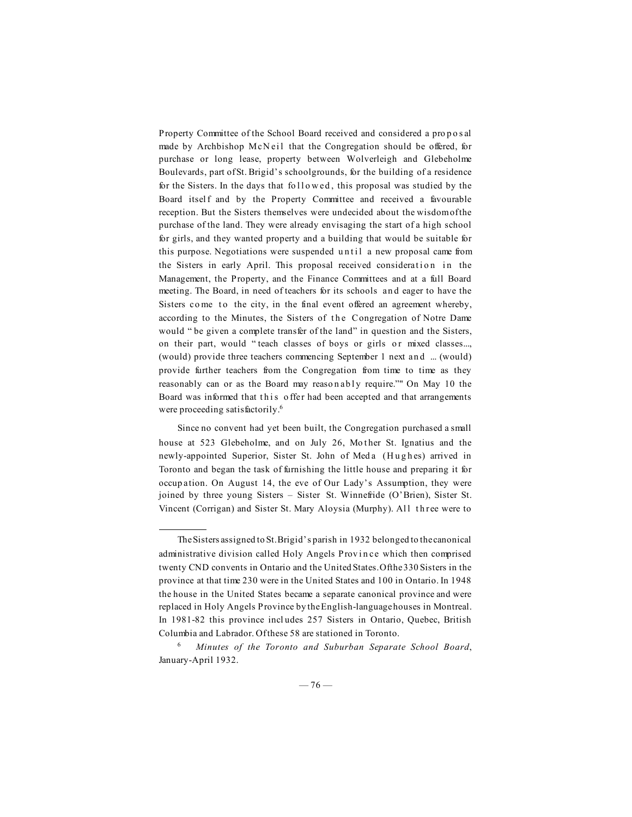Property Committee of the School Board received and considered a pro p o s al made by Archbishop McNeil that the Congregation should be offered, for purchase or long lease, property between Wolverleigh and Glebeholme Boulevards, part of St. Brigid's schoolgrounds, for the building of a residence for the Sisters. In the days that followed, this proposal was studied by the Board itself and by the Property Committee and received a favourable reception. But the Sisters themselves were undecided about the wisdom of the purchase of the land. They were already envisaging the start of a high school for girls, and they wanted property and a building that would be suitable for this purpose. Negotiations were suspended until a new proposal came from the Sisters in early April. This proposal received consideration in the Management, the Property, and the Finance Committees and at a full Board meeting. The Board, in need of teachers for its schools an d eager to have the Sisters come to the city, in the final event offered an agreement whereby, according to the Minutes, the Sisters of the Congregation of Notre Dame would "be given a complete transfer of the land" in question and the Sisters, on their part, would " teach classes of boys or girls or mixed classes..., (would) provide three teachers commencing September 1 next an d ... (would) provide further teachers from the Congregation from time to time as they reasonably can or as the Board may reasonably require."" On May 10 the Board was informed that this offer had been accepted and that arrangements were proceeding satisfactorily.<sup>6</sup>

Since no convent had yet been built, the Congregation purchased a small house at 523 Glebeholme, and on July 26, Mother St. Ignatius and the newly-appointed Superior, Sister St. John of Meda (Hughes) arrived in Toronto and began the task of furnishing the little house and preparing it for occup ation. On August 14, the eve of Our Lady's Assumption, they were joined by three young Sisters – Sister St. Winnefride (O'Brien), Sister St. Vincent (Corrigan) and Sister St. Mary Aloysia (Murphy). All three were to

The Sisters assigned to St. Brigid's parish in 1932 belonged to the canonical administrative division called Holy Angels Province which then comprised twenty CND convents in Ontario and the United States. Of the 330 Sisters in the province at that time 230 were in the United States and 100 in Ontario. In 1948 the house in the United States became a separate canonical province and were replaced in Holy Angels Province by the English-language houses in Montreal. In 1981-82 this province incl udes 257 Sisters in Ontario, Quebec, British Columbia and Labrador. Of these 58 are stationed in Toronto.

<sup>6</sup> *Minutes of the Toronto and Suburban Separate School Board*, January-April 1932.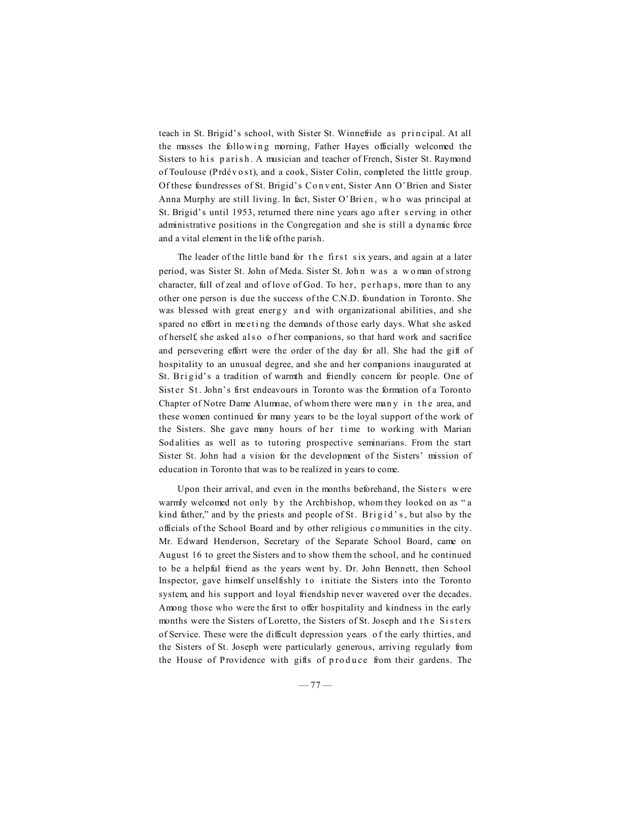teach in St. Brigid's school, with Sister St. Winnefride as principal. At all the masses the following morning, Father Hayes officially welcomed the Sisters to his parish. A musician and teacher of French, Sister St. Raymond of Toulouse (Prdévost), and a cook, Sister Colin, completed the little group. Of these foundresses of St. Brigid's Co n v ent, Sister Ann O'Brien and Sister Anna Murphy are still living. In fact, Sister O'Bri en, who was principal at St. Brigid's until 1953, returned there nine years ago after serving in other administrative positions in the Congregation and she is still a dynamic force and a vital element in the life of the parish.

The leader of the little band for the first six years, and again at a later period, was Sister St. John of Meda. Sister St. John was a woman of strong character, full of zeal and of love of God. To her, p erh ap s, more than to any other one person is due the success of the C.N.D. foundation in Toronto. She was blessed with great energy and with organizational abilities, and she spared no effort in meeting the demands of those early days. What she asked of herself, she asked al s o o f her companions, so that hard work and sacrifice and persevering effort were the order of the day for all. She had the gift of hospitality to an unusual degree, and she and her companions inaugurated at St. Brigid's a tradition of warmth and friendly concern for people. One of Sister St. John's first endeavours in Toronto was the formation of a Toronto Chapter of Notre Dame Alumnae, of whom there were many in the area, and these women continued for many years to be the loyal support of the work of the Sisters. She gave many hours of her time to working with Marian Sod alities as well as to tutoring prospective seminarians. From the start Sister St. John had a vision for the development of the Sisters' mission of education in Toronto that was to be realized in years to come.

Upon their arrival, and even in the months beforehand, the Sisters w ere warmly welcomed not only by the Archbishop, whom they looked on as "a kind father," and by the priests and people of St. Brigid's, but also by the officials of the School Board and by other religious co mmunities in the city. Mr. Edward Henderson, Secretary of the Separate School Board, came on August 16 to greet the Sisters and to show them the school, and he continued to be a helpful friend as the years went by. Dr. John Bennett, then School Inspector, gave himself unselfishly to initiate the Sisters into the Toronto system, and his support and loyal friendship never wavered over the decades. Among those who were the first to offer hospitality and kindness in the early months were the Sisters of Loretto, the Sisters of St. Joseph and the Sisters of Service. These were the difficult depression years o f the early thirties, and the Sisters of St. Joseph were particularly generous, arriving regularly from the House of Providence with gifts of produce from their gardens. The

 $-77-$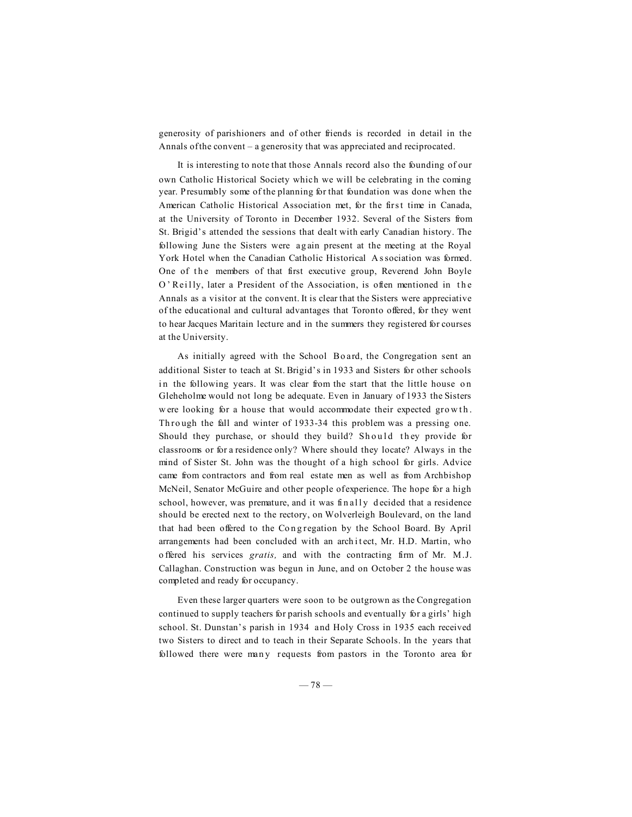generosity of parishioners and of other friends is recorded in detail in the Annals of the convent – a generosity that was appreciated and reciprocated.

It is interesting to note that those Annals record also the founding of our own Catholic Historical Society which we will be celebrating in the coming year. Presumably some of the planning for that foundation was done when the American Catholic Historical Association met, for the first time in Canada, at the University of Toronto in December 1932. Several of the Sisters from St. Brigid's attended the sessions that dealt with early Canadian history. The following June the Sisters were ag ain present at the meeting at the Royal York Hotel when the Canadian Catholic Historical A s sociation was formed. One of the members of that first executive group, Reverend John Boyle O' Reilly, later a President of the Association, is often mentioned in the Annals as a visitor at the convent. It is clear that the Sisters were appreciative of the educational and cultural advantages that Toronto offered, for they went to hear Jacques Maritain lecture and in the summers they registered for courses at the University.

As initially agreed with the School Bo ard, the Congregation sent an additional Sister to teach at St. Brigid's in 1933 and Sisters for other schools in the following years. It was clear from the start that the little house on Gleheholme would not long be adequate. Even in January of 1933 the Sisters were looking for a house that would accommodate their expected growth. Th rough the fall and winter of 1933-34 this problem was a pressing one. Should they purchase, or should they build? Should they provide for classrooms or for a residence only? Where should they locate? Always in the mind of Sister St. John was the thought of a high school for girls. Advice came from contractors and from real estate men as well as from Archbishop McNeil, Senator McGuire and other people of experience. The hope for a high school, however, was premature, and it was finally decided that a residence should be erected next to the rectory, on Wolverleigh Boulevard, on the land that had been offered to the Congregation by the School Board. By April arrangements had been concluded with an architect, Mr. H.D. Martin, who o ffered his services *gratis,* and with the contracting firm of Mr. M.J. Callaghan. Construction was begun in June, and on October 2 the house was completed and ready for occupancy.

Even these larger quarters were soon to be outgrown as the Congregation continued to supply teachers for parish schools and eventually for a girls' high school. St. Dunstan's parish in 1934 and Holy Cross in 1935 each received two Sisters to direct and to teach in their Separate Schools. In the years that followed there were many requests from pastors in the Toronto area for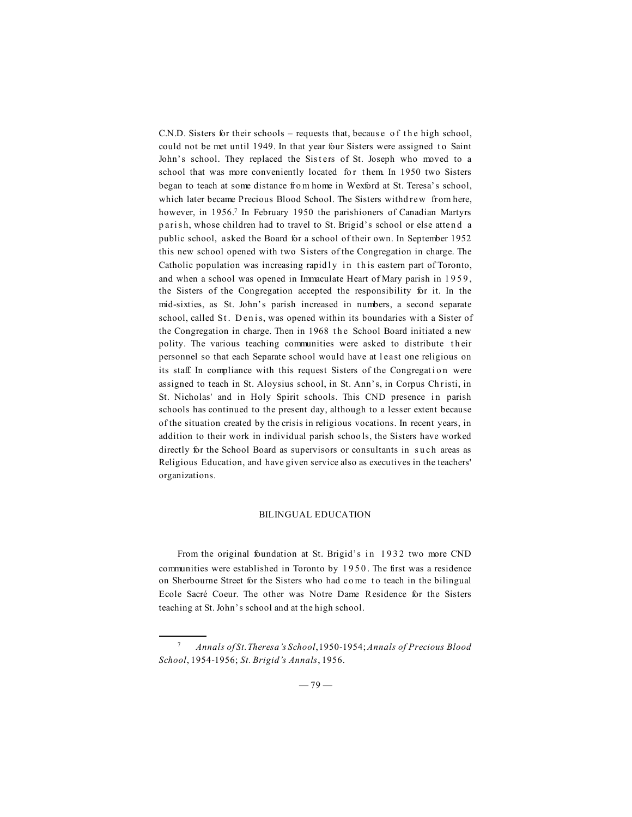C.N.D. Sisters for their schools – requests that, because of the high school, could not be met until 1949. In that year four Sisters were assigned to Saint John's school. They replaced the Sisters of St. Joseph who moved to a school that was more conveniently located for them. In 1950 two Sisters began to teach at some distance fro m home in Wexford at St. Teresa's school, which later became Precious Blood School. The Sisters withd rew from here, however, in 1956.<sup>7</sup> In February 1950 the parishioners of Canadian Martyrs parish, whose children had to travel to St. Brigid's school or else attend a public school, asked the Board for a school of their own. In September 1952 this new school opened with two Sisters of the Congregation in charge. The Catholic population was increasing rapidly in this eastern part of Toronto, and when a school was opened in Immaculate Heart of Mary parish in 1959, the Sisters of the Congregation accepted the responsibility for it. In the mid-sixties, as St. John's parish increased in numbers, a second separate school, called St. Denis, was opened within its boundaries with a Sister of the Congregation in charge. Then in 1968 the School Board initiated a new polity. The various teaching communities were asked to distribute their personnel so that each Separate school would have at least one religious on its staff. In compliance with this request Sisters of the Congregation were assigned to teach in St. Aloysius school, in St. Ann's, in Corpus Ch risti, in St. Nicholas' and in Holy Spirit schools. This CND presence in parish schools has continued to the present day, although to a lesser extent because of the situation created by the crisis in religious vocations. In recent years, in addition to their work in individual parish schoo ls, the Sisters have worked directly for the School Board as supervisors or consultants in such areas as Religious Education, and have given service also as executives in the teachers' organizations.

## BILINGUAL EDUCATION

From the original foundation at St. Brigid's in 1932 two more CND communities were established in Toronto by 1 9 5 0 . The first was a residence on Sherbourne Street for the Sisters who had come to teach in the bilingual Ecole Sacré Coeur. The other was Notre Dame Residence for the Sisters teaching at St. John's school and at the high school.

<sup>7</sup> *Annals of St. Theresa's School*, 1950-1954; *Annals of Precious Blood School*, 1954-1956; *St. Brigid's Annals*, 1956.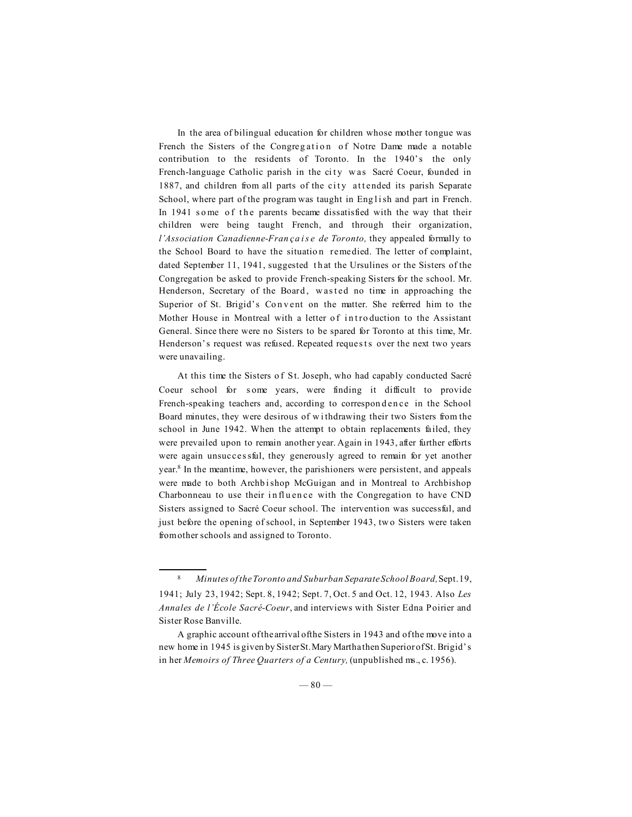In the area of bilingual education for children whose mother tongue was French the Sisters of the Congregation of Notre Dame made a notable contribution to the residents of Toronto. In the 1940's the only French-language Catholic parish in the city was Sacré Coeur, founded in 1887, and children from all parts of the city attended its parish Separate School, where part of the program was taught in English and part in French. In 1941 some of the parents became dissatisfied with the way that their children were being taught French, and through their organization, *l'Association Canadienne-Fran ça i s e de Toronto*, they appealed formally to the School Board to have the situation remedied. The letter of complaint, dated September 11, 1941, suggested that the Ursulines or the Sisters of the Congregation be asked to provide French-speaking Sisters for the school. Mr. Henderson, Secretary of the Board, was ted no time in approaching the Superior of St. Brigid's Convent on the matter. She referred him to the Mother House in Montreal with a letter of introduction to the Assistant General. Since there were no Sisters to be spared for Toronto at this time, Mr. Henderson's request was refused. Repeated requests over the next two years were unavailing.

At this time the Sisters o f St. Joseph, who had capably conducted Sacré Coeur school for some years, were finding it difficult to provide French-speaking teachers and, according to correspondence in the School Board minutes, they were desirous of w i thdrawing their two Sisters from the school in June 1942. When the attempt to obtain replacements failed, they were prevailed upon to remain another year. Again in 1943, after further efforts were again unsucces sful, they generously agreed to remain for yet another year.8 In the meantime, however, the parishioners were persistent, and appeals were made to both Archbishop McGuigan and in Montreal to Archbishop Charbonneau to use their influence with the Congregation to have CND Sisters assigned to Sacré Coeur school. The intervention was successful, and just before the opening of school, in September 1943, tw o Sisters were taken from other schools and assigned to Toronto.

<sup>8</sup> *Minutes of the Toronto and Suburban Separate School Board,* Sept. 19, 1941; July 23, 1942; Sept. 8, 1942; Sept. 7, Oct. 5 and Oct. 12, 1943. Also *Les Annales de l'École Sacré-Coeur*, and interviews with Sister Edna Poirier and Sister Rose Banville.

A graphic account of the arrival of the Sisters in 1943 and of the move into a new home in 1945 is given by Sister St. Mary Martha then Superior of St. Brigid's in her *Memoirs of Three Quarters of a Century,* (unpublished ms., c. 1956).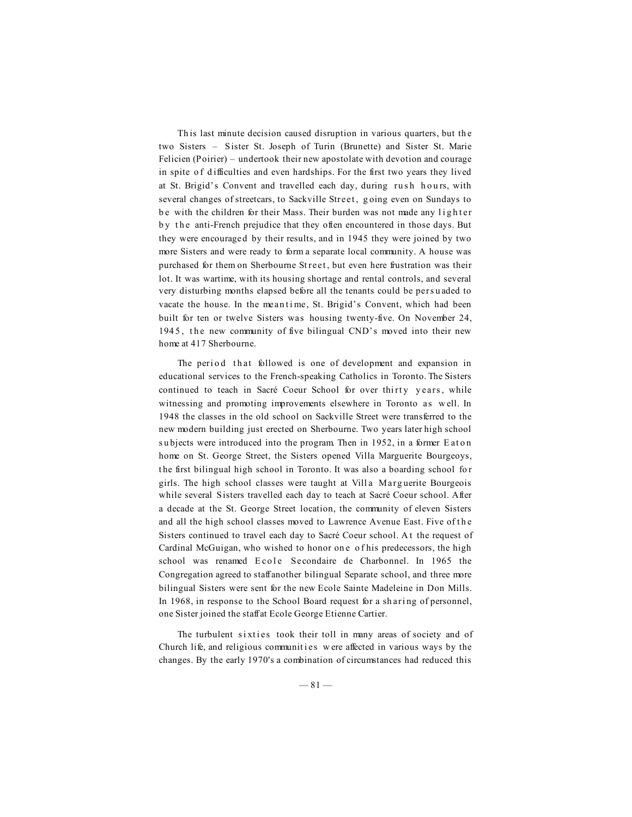Th is last minute decision caused disruption in various quarters, but th e two Sisters – Sister St. Joseph of Turin (Brunette) and Sister St. Marie Felicien (Poirier) – undertook their new apostolate with devotion and courage in spite of difficulties and even hardships. For the first two years they lived at St. Brigid's Convent and travelled each day, during rush hours, with several changes of streetcars, to Sackville Street, going even on Sundays to be with the children for their Mass. Their burden was not made any lighter by the anti-French prejudice that they often encountered in those days. But they were encouraged by their results, and in 1945 they were joined by two more Sisters and were ready to form a separate local community. A house was purchased for them on Sherbourne Street, but even here frustration was their lot. It was wartime, with its housing shortage and rental controls, and several very disturbing months elapsed before all the tenants could be pers u aded to vacate the house. In the meantime, St. Brigid's Convent, which had been built for ten or twelve Sisters was housing twenty-five. On November 24, 1945, the new community of five bilingual CND's moved into their new home at 417 Sherbourne.

The period that followed is one of development and expansion in educational services to the French-speaking Catholics in Toronto. The Sisters continued to teach in Sacré Coeur School for over thirty years, while witnessing and promoting improvements elsewhere in Toronto as w ell. In 1948 the classes in the old school on Sackville Street were transferred to the new modern building just erected on Sherbourne. Two years later high school subjects were introduced into the program. Then in 1952, in a former Eaton home on St. George Street, the Sisters opened Villa Marguerite Bourgeoys, t he first bilingual high school in Toronto. It was also a boarding school fo r girls. The high school classes were taught at Villa Marguerite Bourgeois while several Sisters travelled each day to teach at Sacré Coeur school. After a decade at the St. George Street location, the community of eleven Sisters and all the high school classes moved to Lawrence Avenue East. Five of the Sisters continued to travel each day to Sacré Coeur school. A t the request of Cardinal McGuigan, who wished to honor on e o f his predecessors, the high school was renamed E cole Secondaire de Charbonnel. In 1965 the Congregation agreed to staff another bilingual Separate school, and three more bilingual Sisters were sent for the new Ecole Sainte Madeleine in Don Mills. In 1968, in response to the School Board request for a sh ari ng of personnel, one Sister joined the staff at Ecole George Etienne Cartier.

The turbulent sixties took their toll in many areas of society and of Church life, and religious communities were affected in various ways by the changes. By the early 1970's a combination of circumstances had reduced this

 $-81-$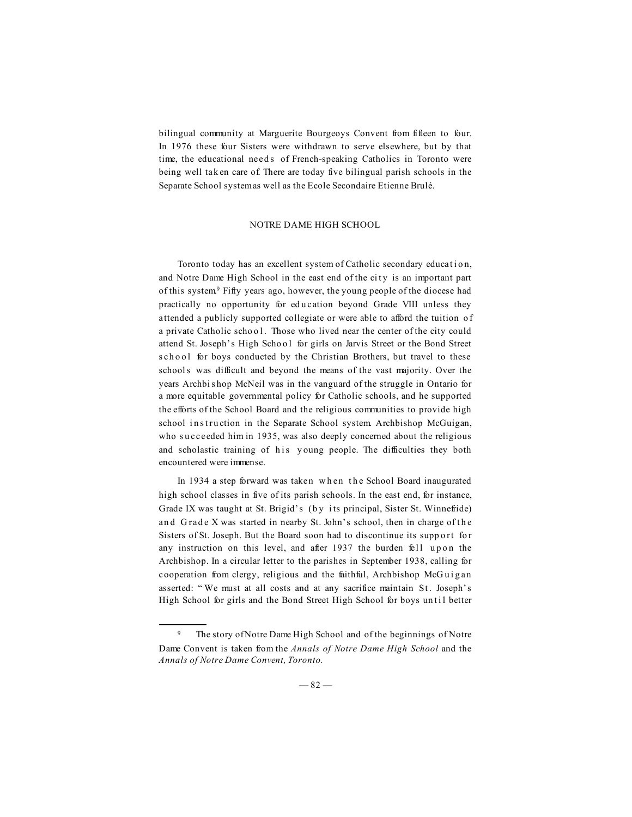bilingual community at Marguerite Bourgeoys Convent from fifteen to four. In 1976 these four Sisters were withdrawn to serve elsewhere, but by that time, the educational needs of French-speaking Catholics in Toronto were being well tak en care of. There are today five bilingual parish schools in the Separate School system as well as the Ecole Secondaire Etienne Brulé.

## NOTRE DAME HIGH SCHOOL

Toronto today has an excellent system of Catholic secondary education, and Notre Dame High School in the east end of the city is an important part of this system<sup>9</sup> Fifty years ago, however, the young people of the diocese had practically no opportunity for ed u cation beyond Grade VIII unless they attended a publicly supported collegiate or were able to afford the tuition o f a private Catholic school. Those who lived near the center of the city could attend St. Joseph's High School for girls on Jarvis Street or the Bond Street school for boys conducted by the Christian Brothers, but travel to these schools was difficult and beyond the means of the vast majority. Over the years Archbi s hop McNeil was in the vanguard of the struggle in Ontario for a more equitable governmental policy for Catholic schools, and he supported the efforts of the School Board and the religious communities to provide high school in struction in the Separate School system. Archbishop McGuigan, who su cceeded him in 1935, was also deeply concerned about the religious and scholastic training of his young people. The difficulties they both encountered were immense.

In 1934 a step forward was taken when the School Board inaugurated high school classes in five of its parish schools. In the east end, for instance, Grade IX was taught at St. Brigid's (by its principal, Sister St. Winnefride) and Grade X was started in nearby St. John's school, then in charge of the Sisters of St. Joseph. But the Board soon had to discontinue its supp ort for any instruction on this level, and after 1937 the burden fell upon the Archbishop. In a circular letter to the parishes in September 1938, calling for cooperation from clergy, religious and the faithful, Archbishop McGuigan asserted: "We must at all costs and at any sacrifice maintain St. Joseph's High School for girls and the Bond Street High School for boys until better

<sup>9</sup> The story of Notre Dame High School and of the beginnings of Notre Dame Convent is taken from the *Annals of Notre Dame High School* and the *Annals of Notre Dame Convent, Toronto.*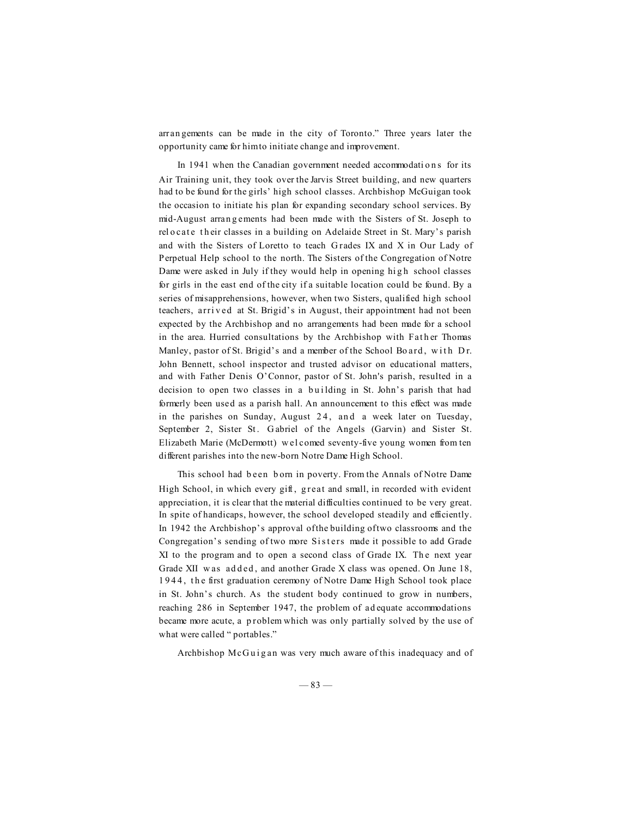arran gements can be made in the city of Toronto." Three years later the opportunity came for him to initiate change and improvement.

In 1941 when the Canadian government needed accommodations for its Air Training unit, they took over the Jarvis Street building, and new quarters had to be found for the girls' high school classes. Archbishop McGuigan took the occasion to initiate his plan for expanding secondary school services. By mid-August arran g ements had been made with the Sisters of St. Joseph to rel o cate th eir classes in a building on Adelaide Street in St. Mary's parish and with the Sisters of Loretto to teach G rades IX and X in Our Lady of Perpetual Help school to the north. The Sisters of the Congregation of Notre Dame were asked in July if they would help in opening high school classes for girls in the east end of the city if a suitable location could be found. By a series of misapprehensions, however, when two Sisters, qualified high school teachers, arrived at St. Brigid's in August, their appointment had not been expected by the Archbishop and no arrangements had been made for a school in the area. Hurried consultations by the Archbishop with Father Thomas Manley, pastor of St. Brigid's and a member of the School Bo ard, with Dr. John Bennett, school inspector and trusted advisor on educational matters, and with Father Denis O'Connor, pastor of St. John's parish, resulted in a decision to open two classes in a building in St. John's parish that had formerly been used as a parish hall. An announcement to this effect was made in the parishes on Sunday, August  $24$ , and a week later on Tuesday, September 2, Sister St. Gabriel of the Angels (Garvin) and Sister St. Elizabeth Marie (McDermott) w el comed seventy-five young women from ten different parishes into the new-born Notre Dame High School.

This school had b een b orn in poverty. From the Annals of Notre Dame High School, in which every gift, great and small, in recorded with evident appreciation, it is clear that the material difficulties continued to be very great. In spite of handicaps, however, the school developed steadily and efficiently. In 1942 the Archbishop's approval of the building of two classrooms and the Congregation's sending of two more Sisters made it possible to add Grade XI to the program and to open a second class of Grade IX. The next year Grade XII was added, and another Grade X class was opened. On June 18, 1 9 4 4 , t h e first graduation ceremony of Notre Dame High School took place in St. John's church. As the student body continued to grow in numbers, reaching 286 in September 1947, the problem of ad equate accommodations became more acute, a problem which was only partially solved by the use of what were called " portables."

Archbishop McGuigan was very much aware of this inadequacy and of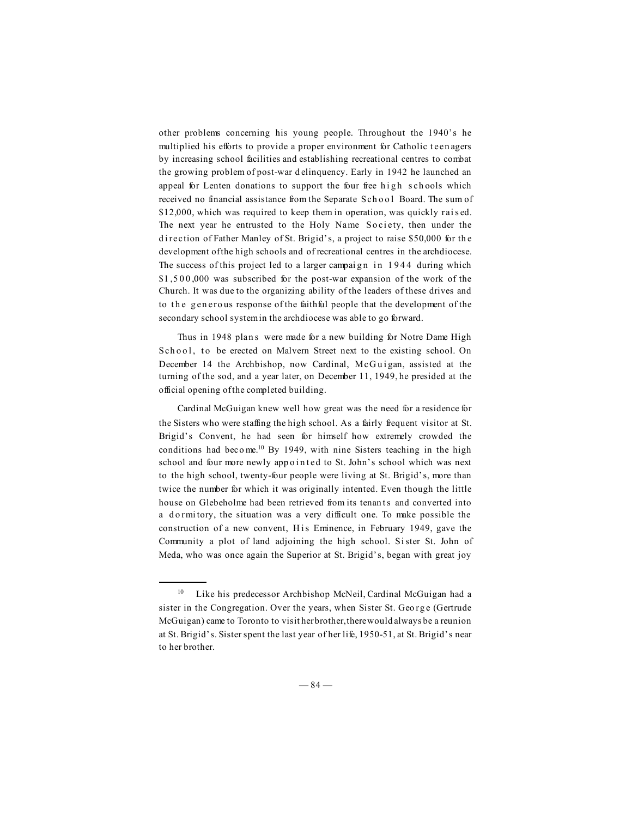other problems concerning his young people. Throughout the 1940's he multiplied his efforts to provide a proper environment for Catholic teen agers by increasing school facilities and establishing recreational centres to combat the growing problem of post-war d elinquency. Early in 1942 he launched an appeal for Lenten donations to support the four free high schools which received no financial assistance from the Separate School Board. The sum of \$12,000, which was required to keep them in operation, was quickly raised. The next year he entrusted to the Holy Name Society, then under the direction of Father Manley of St. Brigid's, a project to raise \$50,000 for the development of the high schools and of recreational centres in the archdiocese. The success of this project led to a larger campaign in 1944 during which \$1,500,000 was subscribed for the post-war expansion of the work of the Church. It was due to the organizing ability of the leaders of these drives and to the generous response of the faithful people that the development of the secondary school system in the archdiocese was able to go forward.

Thus in 1948 plans were made for a new building for Notre Dame High School, to be erected on Malvern Street next to the existing school. On December 14 the Archbishop, now Cardinal, McGuigan, assisted at the turning of the sod, and a year later, on December 11, 1949, he presided at the official opening of the completed building.

Cardinal McGuigan knew well how great was the need for a residence for the Sisters who were staffing the high school. As a fairly frequent visitor at St. Brigid's Convent, he had seen for himself how extremely crowded the conditions had become.<sup>10</sup> By 1949, with nine Sisters teaching in the high school and four more newly appointed to St. John's school which was next to the high school, twenty-four people were living at St. Brigid's, more than twice the number for which it was originally intented. Even though the little house on Glebeholme had been retrieved from its tenants and converted into a dormitory, the situation was a very difficult one. To make possible the construction of a new convent, His Eminence, in February 1949, gave the Community a plot of land adjoining the high school. Si ster St. John of Meda, who was once again the Superior at St. Brigid's, began with great joy

<sup>&</sup>lt;sup>10</sup> Like his predecessor Archbishop McNeil, Cardinal McGuigan had a sister in the Congregation. Over the years, when Sister St. George (Gertrude McGuigan) came to Toronto to visit her brother, there would always be a reunion at St. Brigid's. Sister spent the last year of her life, 1950-51, at St. Brigid's near to her brother.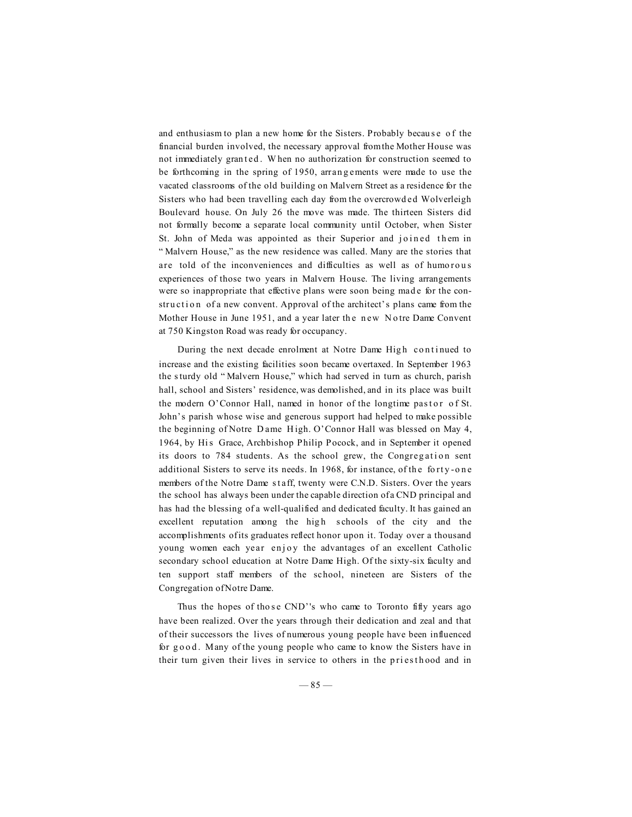and enthusiasm to plan a new home for the Sisters. Probably because of the financial burden involved, the necessary approval from the Mother House was not immediately gran ted. When no authorization for construction seemed to be forthcoming in the spring of 1950, arran g ements were made to use the vacated classrooms of the old building on Malvern Street as a residence for the Sisters who had been travelling each day from the overcrowd ed Wolverleigh Boulevard house. On July 26 the move was made. The thirteen Sisters did not formally become a separate local community until October, when Sister St. John of Meda was appointed as their Superior and joined them in " Malvern House," as the new residence was called. Many are the stories that are told of the inconveniences and difficulties as well as of humorous experiences of those two years in Malvern House. The living arrangements were so inappropriate that effective plans were soon being made for the construction of a new convent. Approval of the architect's plans came from the Mother House in June 1951, and a year later the new Notre Dame Convent at 750 Kingston Road was ready for occupancy.

During the next decade enrolment at Notre Dame High continued to increase and the existing facilities soon became overtaxed. In September 1963 the s turdy old " Malvern House," which had served in turn as church, parish hall, school and Sisters' residence, was demolished, and in its place was built the modern O'Connor Hall, named in honor of the longtime pastor of St. John's parish whose wise and generous support had helped to make possible the beginning of Notre D ame H igh. O'Connor Hall was blessed on May 4, 1964, by His Grace, Archbishop Philip Pocock, and in September it opened its doors to 784 students. As the school grew, the Congregation sent additional Sisters to serve its needs. In 1968, for instance, of the forty-one members of the Notre Dame staff, twenty were C.N.D. Sisters. Over the years the school has always been under the capable direction of a CND principal and has had the blessing of a well-qualified and dedicated faculty. It has gained an excellent reputation among the high schools of the city and the accomplishments of its graduates reflect honor upon it. Today over a thousand young women each year enjoy the advantages of an excellent Catholic secondary school education at Notre Dame High. Of the sixty-six faculty and ten support staff members of the school, nineteen are Sisters of the Congregation of Notre Dame.

Thus the hopes of those CND''s who came to Toronto fifty years ago have been realized. Over the years through their dedication and zeal and that of their successors the lives of numerous young people have been influenced for good. Many of the young people who came to know the Sisters have in their turn given their lives in service to others in the priesthood and in